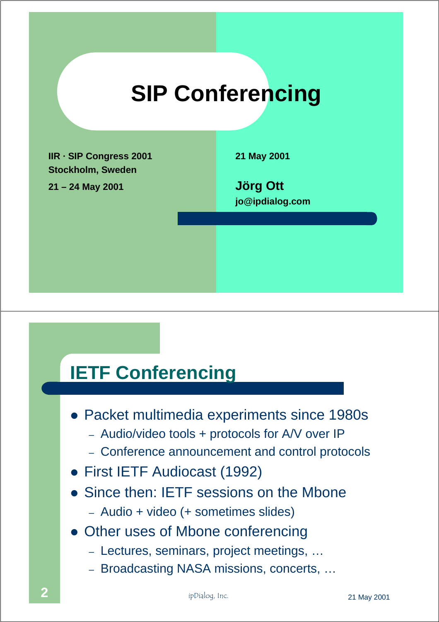

### **IETF Conferencing**

- Packet multimedia experiments since 1980s
	- Audio/video tools + protocols for A/V over IP
	- Conference announcement and control protocols
- First IETF Audiocast (1992)
- Since then: IETF sessions on the Mbone
	- Audio + video (+ sometimes slides)
- Other uses of Mbone conferencing
	- Lectures, seminars, project meetings, …
	- Broadcasting NASA missions, concerts, …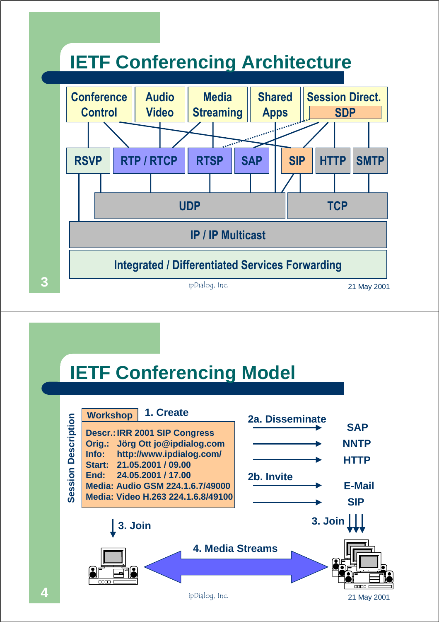

### **IETF Conferencing Model**

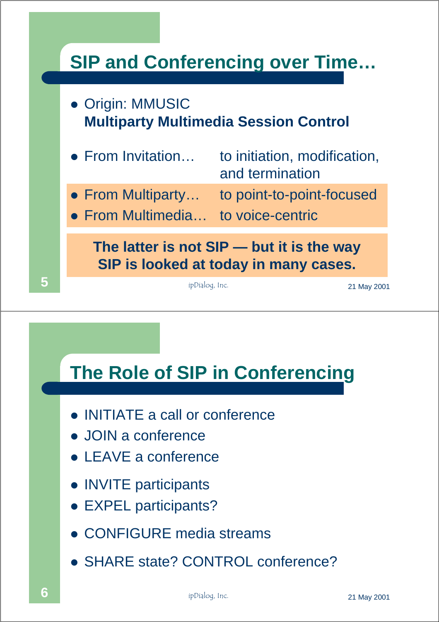



- INITIATE a call or conference
- ! JOIN a conference
- LEAVE a conference
- INVITE participants
- EXPEL participants?
- CONFIGURE media streams
- ! SHARE state? CONTROL conference?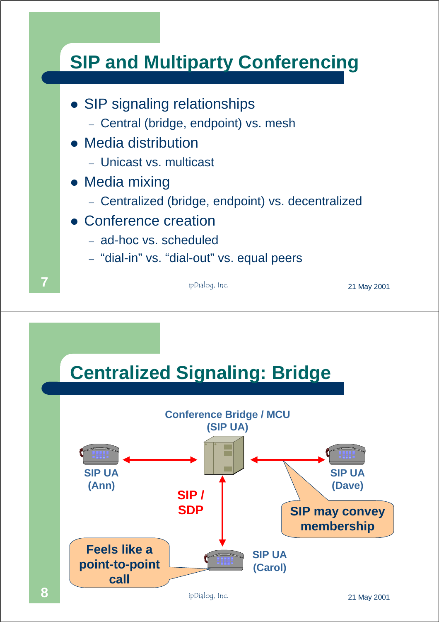### **SIP and Multiparty Conferencing**

- SIP signaling relationships
	- Central (bridge, endpoint) vs. mesh
- Media distribution
	- Unicast vs. multicast
- Media mixing
	- Centralized (bridge, endpoint) vs. decentralized
- Conference creation
	- ad-hoc vs. scheduled
	- "dial-in" vs. "dial-out" vs. equal peers

 $\overline{\mathbf{7}}$  ipDialog, Inc.  $\qquad \qquad$  **21 May 2001** 



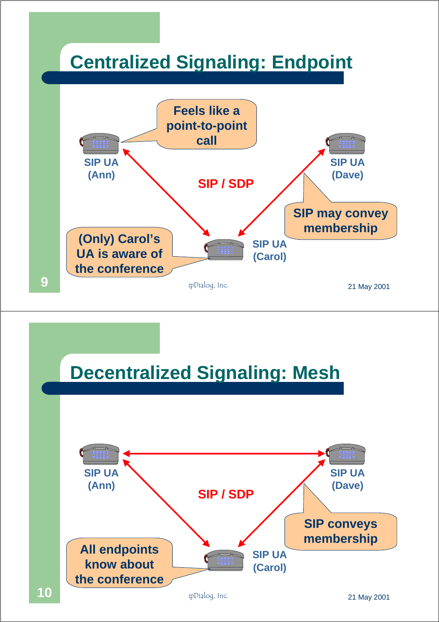### **Centralized Signaling: Endpoint**



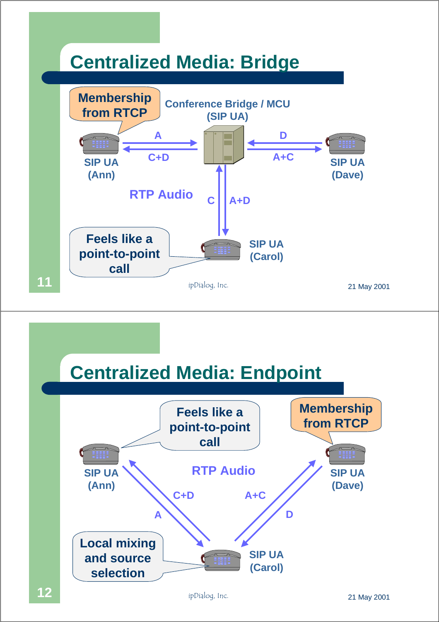

### **Centralized Media: Endpoint**

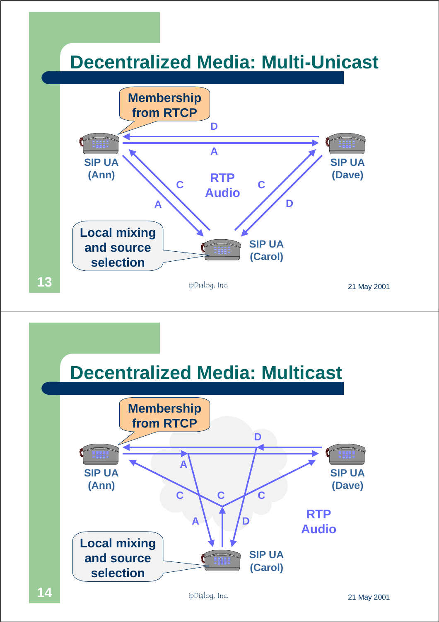



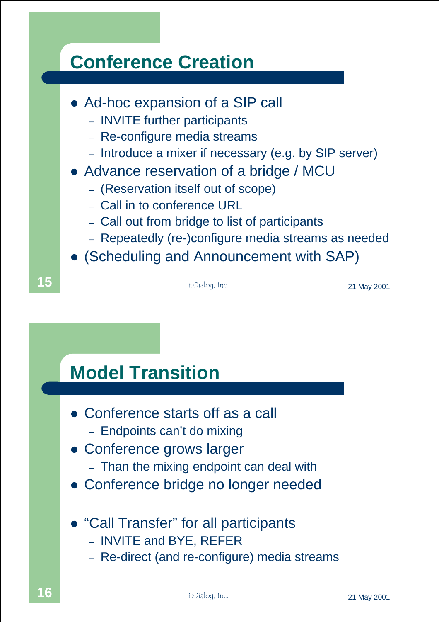

### **Model Transition**

- Conference starts off as a call
	- Endpoints can't do mixing
- Conference grows larger
	- Than the mixing endpoint can deal with
- Conference bridge no longer needed
- ! "Call Transfer" for all participants
	- INVITE and BYE, REFER
	- Re-direct (and re-configure) media streams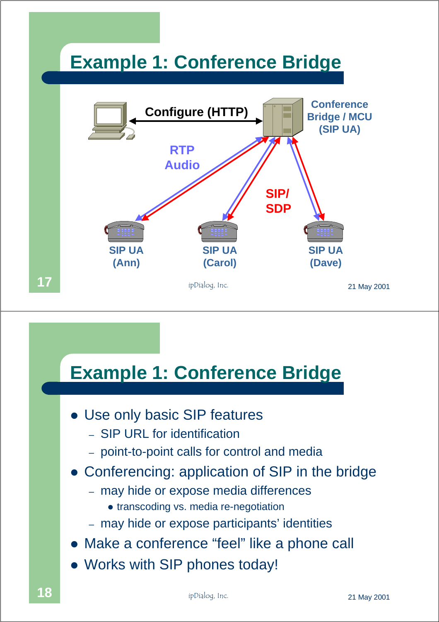### **Example 1: Conference Bridge**



### **Example 1: Conference Bridge**

- Use only basic SIP features
	- SIP URL for identification
	- point-to-point calls for control and media
- Conferencing: application of SIP in the bridge
	- may hide or expose media differences
		- transcoding vs. media re-negotiation
	- may hide or expose participants' identities
- Make a conference "feel" like a phone call
- Works with SIP phones today!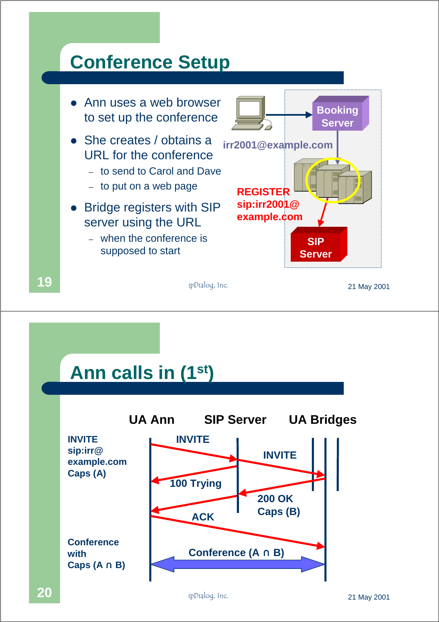### **Conference Setup**



### **Ann calls in (1st)**

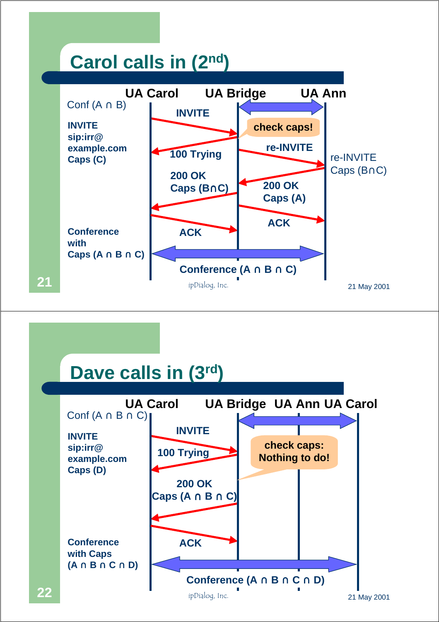### **Carol calls in (2nd)**



### **Dave calls in (3rd)**

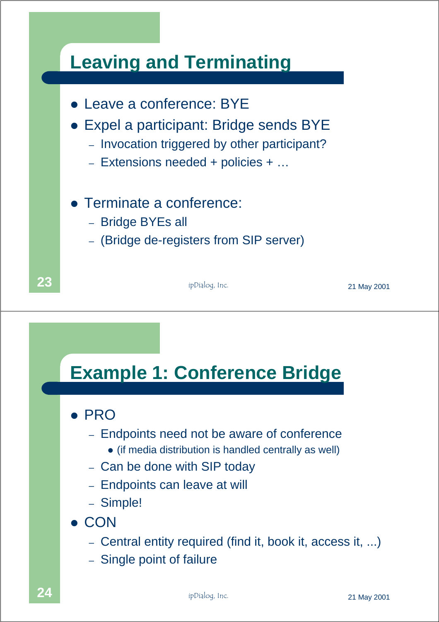

### **Example 1: Conference Bridge**

#### ! PRO

- Endpoints need not be aware of conference
	- ! (if media distribution is handled centrally as well)
- Can be done with SIP today
- Endpoints can leave at will
- Simple!
- ! CON
	- Central entity required (find it, book it, access it, ...)
	- Single point of failure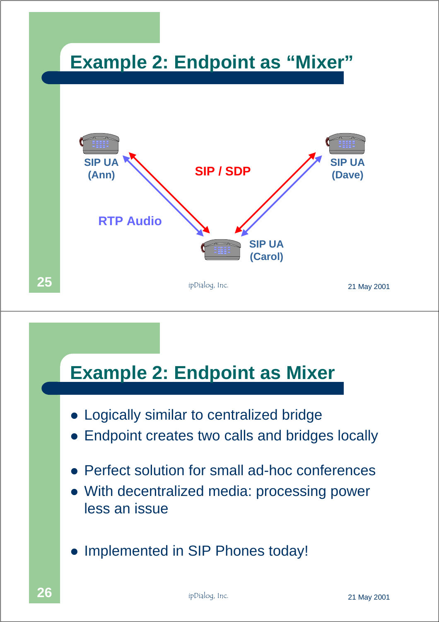

# **Example 2: Endpoint as Mixer**

- Logically similar to centralized bridge
- Endpoint creates two calls and bridges locally
- Perfect solution for small ad-hoc conferences
- With decentralized media: processing power less an issue
- Implemented in SIP Phones today!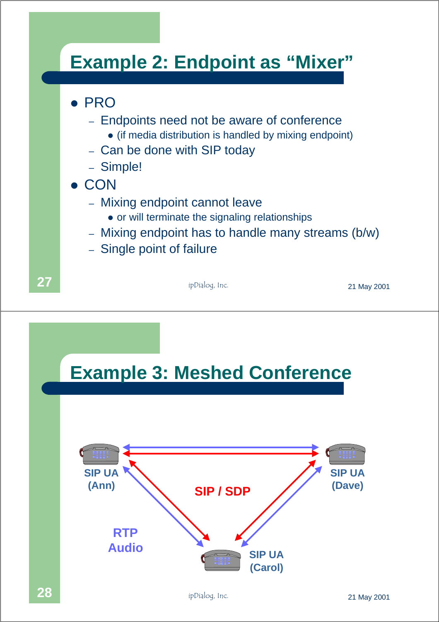### **Example 2: Endpoint as "Mixer"**

#### ! PRO

- Endpoints need not be aware of conference
	- (if media distribution is handled by mixing endpoint)
- Can be done with SIP today
- Simple!
- ! CON
	- Mixing endpoint cannot leave
		- or will terminate the signaling relationships
	- Mixing endpoint has to handle many streams (b/w)
	- Single point of failure

**27 1 ip**Dialog, Inc. 21 May 2001



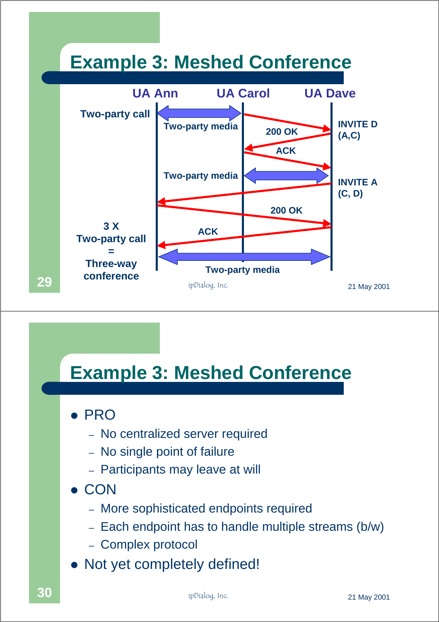

### **Example 3: Meshed Conference**

! PRO

- No centralized server required
- No single point of failure
- Participants may leave at will
- ! CON
	- More sophisticated endpoints required
	- Each endpoint has to handle multiple streams (b/w)
	- Complex protocol
- Not yet completely defined!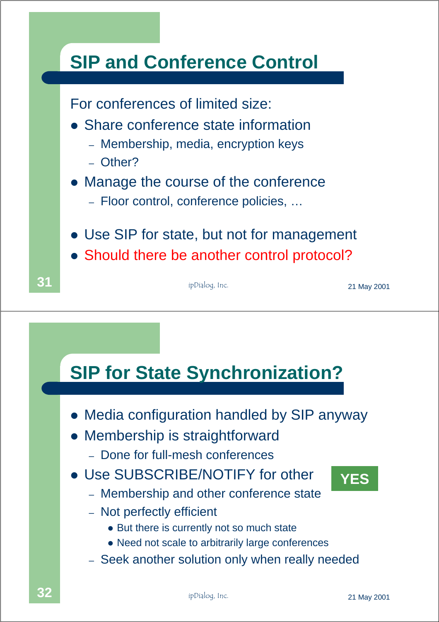

- Media configuration handled by SIP anyway
- Membership is straightforward
	- Done for full-mesh conferences
- Use SUBSCRIBE/NOTIFY for other



- Membership and other conference state
- Not perfectly efficient
	- But there is currently not so much state
	- Need not scale to arbitrarily large conferences
- Seek another solution only when really needed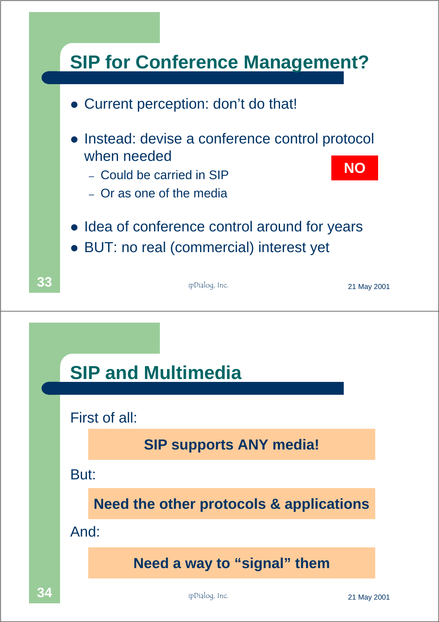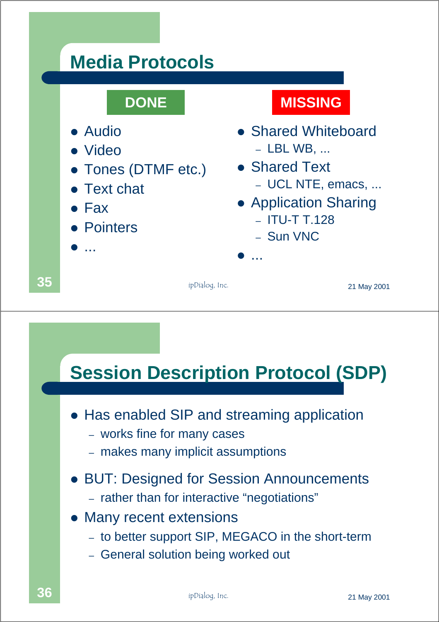## **Media Protocols**

- Audio
- ! Video
- Tones (DTMF etc.)
- **Text chat**
- ! Fax
- **Pointers**
- $\bullet$  ...

### **DONE MISSING**

- Shared Whiteboard – LBL WB, ...
- Shared Text – UCL NTE, emacs, ...
- Application Sharing
	- ITU-T T.128
	- Sun VNC

 $\bullet$  ...

**35 1 i**pDialog, Inc. **21 May 2001** 

### **Session Description Protocol (SDP)**

- Has enabled SIP and streaming application
	- works fine for many cases
	- makes many implicit assumptions
- BUT: Designed for Session Announcements
	- rather than for interactive "negotiations"
- Many recent extensions
	- to better support SIP, MEGACO in the short-term
	- General solution being worked out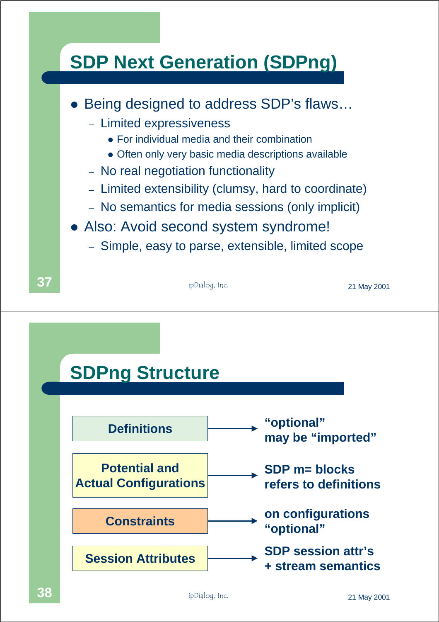